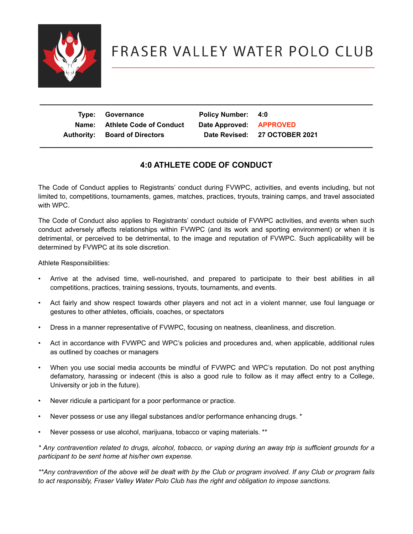

## FRASER VALLEY WATER POLO CLUB

| Type: Governance<br>Name: Athlete Code of Conduct<br><b>Authority: Board of Directors</b> | Policy Number: 4:0<br>Date Approved: APPROVED | Date Revised: 27 OCTOBER 2021 |
|-------------------------------------------------------------------------------------------|-----------------------------------------------|-------------------------------|
|                                                                                           |                                               |                               |

 **\_\_\_\_\_\_\_\_\_\_\_\_\_\_\_\_\_\_\_\_\_\_\_\_\_\_\_\_\_\_\_\_\_\_\_\_\_\_\_\_\_\_\_\_\_\_\_\_\_\_\_\_\_\_\_\_\_\_\_\_\_\_\_\_\_\_\_\_\_\_\_\_\_\_**

## **4:0 ATHLETE CODE OF CONDUCT**

The Code of Conduct applies to Registrants' conduct during FVWPC, activities, and events including, but not limited to, competitions, tournaments, games, matches, practices, tryouts, training camps, and travel associated with WPC.

The Code of Conduct also applies to Registrants' conduct outside of FVWPC activities, and events when such conduct adversely affects relationships within FVWPC (and its work and sporting environment) or when it is detrimental, or perceived to be detrimental, to the image and reputation of FVWPC. Such applicability will be determined by FVWPC at its sole discretion.

Athlete Responsibilities:

- Arrive at the advised time, well-nourished, and prepared to participate to their best abilities in all competitions, practices, training sessions, tryouts, tournaments, and events.
- Act fairly and show respect towards other players and not act in a violent manner, use foul language or gestures to other athletes, officials, coaches, or spectators
- Dress in a manner representative of FVWPC, focusing on neatness, cleanliness, and discretion.
- Act in accordance with FVWPC and WPC's policies and procedures and, when applicable, additional rules as outlined by coaches or managers
- When you use social media accounts be mindful of FVWPC and WPC's reputation. Do not post anything defamatory, harassing or indecent (this is also a good rule to follow as it may affect entry to a College, University or job in the future).
- Never ridicule a participant for a poor performance or practice.
- Never possess or use any illegal substances and/or performance enhancing drugs. \*
- Never possess or use alcohol, marijuana, tobacco or vaping materials. \*\*

*\* Any contravention related to drugs, alcohol, tobacco, or vaping during an away trip is sufficient grounds for a participant to be sent home at his/her own expense.* 

*\*\*Any contravention of the above will be dealt with by the Club or program involved. If any Club or program fails to act responsibly, Fraser Valley Water Polo Club has the right and obligation to impose sanctions.*